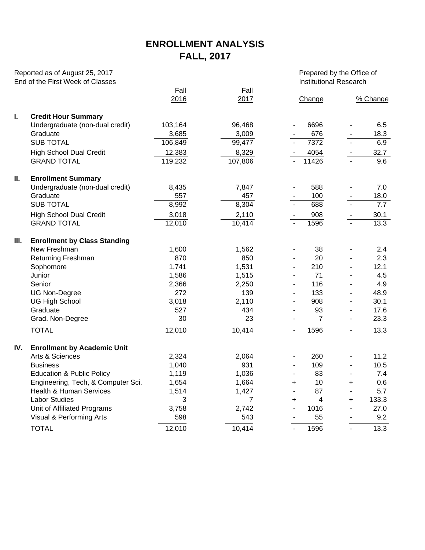## **ENROLLMENT ANALYSIS FALL, 2017**

| Reported as of August 25, 2017<br>End of the First Week of Classes |                                      |              |                | Prepared by the Office of<br><b>Institutional Research</b> |                |                          |          |  |  |
|--------------------------------------------------------------------|--------------------------------------|--------------|----------------|------------------------------------------------------------|----------------|--------------------------|----------|--|--|
|                                                                    |                                      | Fall<br>2016 | Fall<br>2017   |                                                            | Change         |                          | % Change |  |  |
| I.                                                                 | <b>Credit Hour Summary</b>           |              |                |                                                            |                |                          |          |  |  |
|                                                                    | Undergraduate (non-dual credit)      | 103,164      | 96,468         |                                                            | 6696           |                          | 6.5      |  |  |
|                                                                    | Graduate                             | 3,685        | 3,009          |                                                            | 676            |                          | 18.3     |  |  |
|                                                                    | <b>SUB TOTAL</b>                     | 106,849      | 99,477         |                                                            | 7372           |                          | 6.9      |  |  |
|                                                                    | <b>High School Dual Credit</b>       | 12,383       | 8,329          |                                                            | 4054           |                          | 32.7     |  |  |
|                                                                    | <b>GRAND TOTAL</b>                   | 119,232      | 107,806        |                                                            | 11426          |                          | 9.6      |  |  |
| Ш.                                                                 | <b>Enrollment Summary</b>            |              |                |                                                            |                |                          |          |  |  |
|                                                                    | Undergraduate (non-dual credit)      | 8,435        | 7,847          |                                                            | 588            |                          | 7.0      |  |  |
|                                                                    | Graduate                             | 557          | 457            |                                                            | 100            |                          | 18.0     |  |  |
|                                                                    | <b>SUB TOTAL</b>                     | 8,992        | 8,304          |                                                            | 688            |                          | 7.7      |  |  |
|                                                                    | <b>High School Dual Credit</b>       | 3,018        | 2,110          |                                                            | 908            |                          | 30.1     |  |  |
|                                                                    | <b>GRAND TOTAL</b>                   | 12,010       | 10,414         |                                                            | 1596           | $\blacksquare$           | 13.3     |  |  |
| Ш.                                                                 | <b>Enrollment by Class Standing</b>  |              |                |                                                            |                |                          |          |  |  |
|                                                                    | New Freshman                         | 1,600        | 1,562          |                                                            | 38             |                          | 2.4      |  |  |
|                                                                    | Returning Freshman                   | 870          | 850            |                                                            | 20             | $\overline{\phantom{a}}$ | 2.3      |  |  |
|                                                                    | Sophomore                            | 1,741        | 1,531          |                                                            | 210            |                          | 12.1     |  |  |
|                                                                    | Junior                               | 1,586        | 1,515          |                                                            | 71             |                          | 4.5      |  |  |
|                                                                    | Senior                               | 2,366        | 2,250          |                                                            | 116            |                          | 4.9      |  |  |
|                                                                    | <b>UG Non-Degree</b>                 | 272          | 139            |                                                            | 133            |                          | 48.9     |  |  |
|                                                                    | <b>UG High School</b>                | 3,018        | 2,110          |                                                            | 908            |                          | 30.1     |  |  |
|                                                                    | Graduate                             | 527          | 434            | $\overline{\phantom{a}}$                                   | 93             | $\overline{\phantom{a}}$ | 17.6     |  |  |
|                                                                    | Grad. Non-Degree                     | 30           | 23             |                                                            | $\overline{7}$ |                          | 23.3     |  |  |
|                                                                    | <b>TOTAL</b>                         | 12,010       | 10,414         |                                                            | 1596           |                          | 13.3     |  |  |
| IV.                                                                | <b>Enrollment by Academic Unit</b>   |              |                |                                                            |                |                          |          |  |  |
|                                                                    | Arts & Sciences                      | 2,324        | 2,064          |                                                            | 260            |                          | 11.2     |  |  |
|                                                                    | <b>Business</b>                      | 1,040        | 931            |                                                            | 109            |                          | 10.5     |  |  |
|                                                                    | <b>Education &amp; Public Policy</b> | 1,119        | 1,036          |                                                            | 83             |                          | 7.4      |  |  |
|                                                                    | Engineering, Tech, & Computer Sci.   | 1,654        | 1,664          | +                                                          | 10             | +                        | 0.6      |  |  |
|                                                                    | Health & Human Services              | 1,514        | 1,427          |                                                            | 87             |                          | 5.7      |  |  |
|                                                                    | <b>Labor Studies</b>                 | 3            | $\overline{7}$ | +                                                          | 4              | +                        | 133.3    |  |  |
|                                                                    | Unit of Affiliated Programs          | 3,758        | 2,742          |                                                            | 1016           |                          | 27.0     |  |  |
|                                                                    | Visual & Performing Arts             | 598          | 543            |                                                            | 55             |                          | 9.2      |  |  |
|                                                                    | <b>TOTAL</b>                         | 12,010       | 10,414         |                                                            | 1596           | $\blacksquare$           | 13.3     |  |  |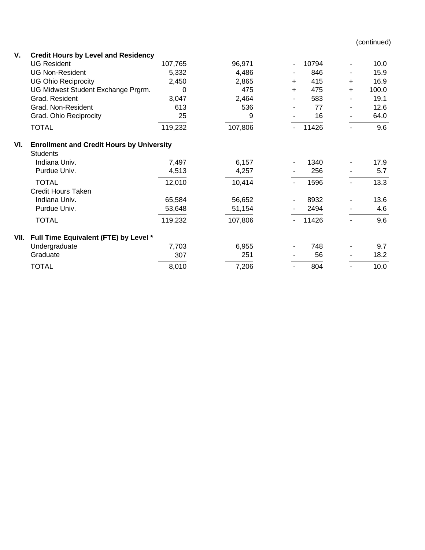(continued)

| V. |  | <b>Credit Hours by Level and Residency</b> |
|----|--|--------------------------------------------|
|----|--|--------------------------------------------|

|      | <b>UG Resident</b>                               | 107,765 | 96,971  |     | 10794 |           | 10.0  |  |  |  |  |  |
|------|--------------------------------------------------|---------|---------|-----|-------|-----------|-------|--|--|--|--|--|
|      | <b>UG Non-Resident</b>                           | 5,332   | 4,486   |     | 846   |           | 15.9  |  |  |  |  |  |
|      | <b>UG Ohio Reciprocity</b>                       | 2,450   | 2,865   | $+$ | 415   | $\ddot{}$ | 16.9  |  |  |  |  |  |
|      | UG Midwest Student Exchange Prgrm.               | 0       | 475     | $+$ | 475   | $\ddot{}$ | 100.0 |  |  |  |  |  |
|      | Grad. Resident                                   | 3,047   | 2,464   |     | 583   |           | 19.1  |  |  |  |  |  |
|      | Grad. Non-Resident                               | 613     | 536     |     | 77    |           | 12.6  |  |  |  |  |  |
|      | Grad. Ohio Reciprocity                           | 25      | 9       |     | 16    |           | 64.0  |  |  |  |  |  |
|      | <b>TOTAL</b>                                     | 119,232 | 107,806 |     | 11426 |           | 9.6   |  |  |  |  |  |
| VI.  | <b>Enrollment and Credit Hours by University</b> |         |         |     |       |           |       |  |  |  |  |  |
|      | <b>Students</b>                                  |         |         |     |       |           |       |  |  |  |  |  |
|      | Indiana Univ.                                    | 7,497   | 6,157   |     | 1340  |           | 17.9  |  |  |  |  |  |
|      | Purdue Univ.                                     | 4,513   | 4,257   |     | 256   |           | 5.7   |  |  |  |  |  |
|      | <b>TOTAL</b>                                     | 12,010  | 10,414  |     | 1596  |           | 13.3  |  |  |  |  |  |
|      | <b>Credit Hours Taken</b>                        |         |         |     |       |           |       |  |  |  |  |  |
|      | Indiana Univ.                                    | 65,584  | 56,652  |     | 8932  |           | 13.6  |  |  |  |  |  |
|      | Purdue Univ.                                     | 53,648  | 51,154  |     | 2494  |           | 4.6   |  |  |  |  |  |
|      | <b>TOTAL</b>                                     | 119,232 | 107,806 |     | 11426 |           | 9.6   |  |  |  |  |  |
| VII. | Full Time Equivalent (FTE) by Level *            |         |         |     |       |           |       |  |  |  |  |  |
|      | Undergraduate                                    | 7,703   | 6,955   |     | 748   |           | 9.7   |  |  |  |  |  |
|      | Graduate                                         | 307     | 251     |     | 56    |           | 18.2  |  |  |  |  |  |
|      | <b>TOTAL</b>                                     | 8,010   | 7,206   |     | 804   |           | 10.0  |  |  |  |  |  |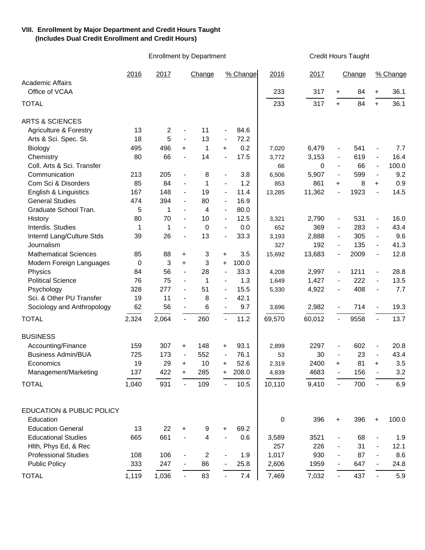## **VIII. Enrollment by Major Department and Credit Hours Taught (Includes Dual Credit Enrollment and Credit Hours)**

Enrollment by Department Credit Hours Taught

|                                           | 2016  | 2017                    |                              | Change      |                              | % Change | 2016   | 2017   |                              | Change |                          | % Change |
|-------------------------------------------|-------|-------------------------|------------------------------|-------------|------------------------------|----------|--------|--------|------------------------------|--------|--------------------------|----------|
| <b>Academic Affairs</b><br>Office of VCAA |       |                         |                              |             |                              |          | 233    | 317    | $+$                          | 84     | $\ddot{}$                | 36.1     |
|                                           |       |                         |                              |             |                              |          |        |        |                              |        |                          |          |
| <b>TOTAL</b>                              |       |                         |                              |             |                              |          | 233    | 317    | $+$                          | 84     | $+$                      | 36.1     |
| <b>ARTS &amp; SCIENCES</b>                |       |                         |                              |             |                              |          |        |        |                              |        |                          |          |
| <b>Agriculture &amp; Forestry</b>         | 13    | $\overline{\mathbf{c}}$ | $\qquad \qquad \blacksquare$ | 11          | $\blacksquare$               | 84.6     |        |        |                              |        |                          |          |
| Arts & Sci. Spec. St.                     | 18    | 5                       | $\overline{\phantom{a}}$     | 13          | $\overline{\phantom{a}}$     | 72.2     |        |        |                              |        |                          |          |
| Biology                                   | 495   | 496                     | $\ddot{}$                    | 1           | $\ddot{}$                    | 0.2      | 7,020  | 6,479  | $\blacksquare$               | 541    | $\blacksquare$           | 7.7      |
| Chemistry                                 | 80    | 66                      |                              | 14          |                              | 17.5     | 3,772  | 3,153  | $\qquad \qquad \blacksquare$ | 619    | $\blacksquare$           | 16.4     |
| Coll. Arts & Sci. Transfer                |       |                         |                              |             |                              |          | 66     | 0      | $\blacksquare$               | 66     | $\overline{\phantom{a}}$ | 100.0    |
| Communication                             | 213   | 205                     | $\overline{\phantom{a}}$     | 8           | $\overline{\phantom{a}}$     | 3.8      | 6,506  | 5,907  | $\qquad \qquad \blacksquare$ | 599    | $\blacksquare$           | 9.2      |
| Com Sci & Disorders                       | 85    | 84                      | $\overline{\phantom{a}}$     | 1           | $\overline{\phantom{a}}$     | 1.2      | 853    | 861    | $\ddot{}$                    | 8      | $+$                      | 0.9      |
| English & Linguistics                     | 167   | 148                     | $\overline{\phantom{a}}$     | 19          | $\overline{\phantom{a}}$     | 11.4     | 13,285 | 11,362 |                              | 1923   | $\blacksquare$           | 14.5     |
| <b>General Studies</b>                    | 474   | 394                     | $\overline{\phantom{a}}$     | 80          | $\overline{\phantom{a}}$     | 16.9     |        |        |                              |        |                          |          |
| Graduate School Tran.                     | 5     | 1                       |                              | 4           | $\overline{\phantom{a}}$     | 80.0     |        |        |                              |        |                          |          |
| History                                   | 80    | 70                      | $\overline{\phantom{a}}$     | 10          | $\overline{\phantom{a}}$     | 12.5     | 3,321  | 2,790  | $\blacksquare$               | 531    | $\blacksquare$           | 16.0     |
| Interdis. Studies                         | 1     | 1                       |                              | $\mathbf 0$ |                              | 0.0      | 652    | 369    | $\blacksquare$               | 283    | $\blacksquare$           | 43.4     |
| Interntl Lang/Culture Stds                | 39    | 26                      | $\overline{a}$               | 13          | $\overline{a}$               | 33.3     | 3,193  | 2,888  | $\blacksquare$               | 305    | $\blacksquare$           | 9.6      |
| Journalism                                |       |                         |                              |             |                              |          | 327    | 192    | $\overline{\phantom{a}}$     | 135    | $\overline{\phantom{a}}$ | 41.3     |
| <b>Mathematical Sciences</b>              | 85    | 88                      | +                            | 3           | +                            | 3.5      | 15,692 | 13,683 | $\overline{\phantom{a}}$     | 2009   | $\blacksquare$           | 12.8     |
| Modern Foreign Languages                  | 0     | 3                       | $\ddot{}$                    | 3           | +                            | 100.0    |        |        |                              |        |                          |          |
| Physics                                   | 84    | 56                      | $\overline{\phantom{a}}$     | 28          | $\qquad \qquad \blacksquare$ | 33.3     | 4,208  | 2,997  | $\blacksquare$               | 1211   | $\blacksquare$           | 28.8     |
| <b>Political Science</b>                  | 76    | 75                      | $\overline{\phantom{a}}$     | 1           | $\overline{\phantom{a}}$     | 1.3      | 1,649  | 1,427  | $\blacksquare$               | 222    | $\blacksquare$           | 13.5     |
| Psychology                                | 328   | 277                     | $\overline{\phantom{a}}$     | 51          | $\overline{\phantom{a}}$     | 15.5     | 5,330  | 4,922  | $\qquad \qquad \blacksquare$ | 408    | $\overline{\phantom{a}}$ | 7.7      |
| Sci. & Other PU Transfer                  | 19    | 11                      | $\overline{\phantom{a}}$     | 8           | $\overline{\phantom{a}}$     | 42.1     |        |        |                              |        |                          |          |
| Sociology and Anthropology                | 62    | 56                      | $\overline{\phantom{a}}$     | 6           | $\blacksquare$               | 9.7      | 3,696  | 2,982  | $\blacksquare$               | 714    | $\blacksquare$           | 19.3     |
| <b>TOTAL</b>                              | 2,324 | 2,064                   | $\overline{\phantom{a}}$     | 260         |                              | 11.2     | 69,570 | 60,012 |                              | 9558   | $\blacksquare$           | 13.7     |
| <b>BUSINESS</b>                           |       |                         |                              |             |                              |          |        |        |                              |        |                          |          |
| Accounting/Finance                        | 159   | 307                     | +                            | 148         | $\ddot{}$                    | 93.1     | 2,899  | 2297   | $\blacksquare$               | 602    | $\blacksquare$           | 20.8     |
| <b>Business Admin/BUA</b>                 | 725   | 173                     | $\overline{\phantom{a}}$     | 552         | $\overline{\phantom{a}}$     | 76.1     | 53     | 30     | $\blacksquare$               | 23     | $\overline{\phantom{a}}$ | 43.4     |
| Economics                                 | 19    | 29                      | +                            | 10          | +                            | 52.6     | 2,319  | 2400   | $\ddot{}$                    | 81     | $\ddot{}$                | 3.5      |
| Management/Marketing                      | 137   | 422                     | +                            | 285         | +                            | 208.0    | 4,839  | 4683   | $\overline{a}$               | 156    | $\blacksquare$           | 3.2      |
| <b>TOTAL</b>                              |       | 931                     |                              | 109         |                              |          | 10,110 |        |                              | 700    |                          | 6.9      |
|                                           | 1,040 |                         |                              |             |                              | 10.5     |        | 9,410  |                              |        |                          |          |
| <b>EDUCATION &amp; PUBLIC POLICY</b>      |       |                         |                              |             |                              |          |        |        |                              |        |                          |          |
| Education                                 |       |                         |                              |             |                              |          | 0      | 396    | $\ddot{}$                    | 396    | $\ddot{}$                | 100.0    |
| <b>Education General</b>                  | 13    | 22                      | +                            | 9           | +                            | 69.2     |        |        |                              |        |                          |          |
| <b>Educational Studies</b>                | 665   | 661                     |                              | 4           |                              | 0.6      | 3,589  | 3521   | $\overline{\phantom{a}}$     | 68     |                          | 1.9      |
| Hith, Phys Ed, & Rec                      |       |                         |                              |             |                              |          | 257    | 226    |                              | 31     |                          | 12.1     |
| <b>Professional Studies</b>               | 108   | 106                     |                              | 2           |                              | 1.9      | 1,017  | 930    | $\overline{\phantom{a}}$     | 87     | $\blacksquare$           | 8.6      |
| <b>Public Policy</b>                      | 333   | 247                     |                              | 86          |                              | 25.8     | 2,606  | 1959   |                              | 647    |                          | 24.8     |
|                                           |       |                         |                              |             |                              |          |        |        |                              |        |                          |          |
| <b>TOTAL</b>                              | 1,119 | 1,036                   | $\blacksquare$               | 83          |                              | 7.4      | 7,469  | 7,032  | $\overline{\phantom{a}}$     | 437    | $\blacksquare$           | 5.9      |